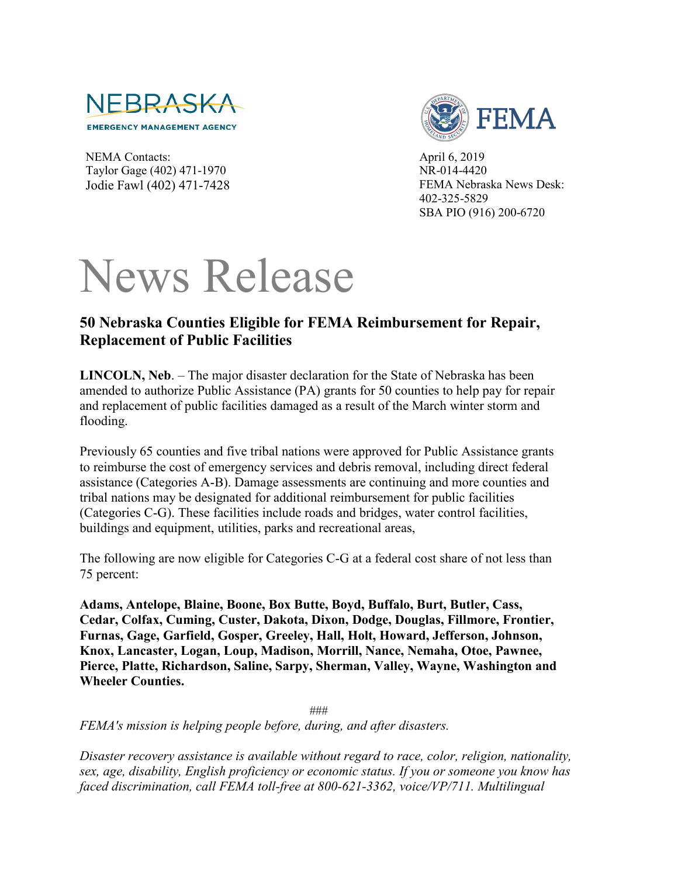

NEMA Contacts: Taylor Gage (402) 471-1970 Jodie Fawl (402) 471-7428



April 6, 2019 NR-014-4420 FEMA Nebraska News Desk: 402-325-5829 SBA PIO (916) 200-6720

## News Release

## **50 Nebraska Counties Eligible for FEMA Reimbursement for Repair, Replacement of Public Facilities**

**LINCOLN, Neb**. – The major disaster declaration for the State of Nebraska has been amended to authorize Public Assistance (PA) grants for 50 counties to help pay for repair and replacement of public facilities damaged as a result of the March winter storm and flooding.

Previously 65 counties and five tribal nations were approved for Public Assistance grants to reimburse the cost of emergency services and debris removal, including direct federal assistance (Categories A-B). Damage assessments are continuing and more counties and tribal nations may be designated for additional reimbursement for public facilities (Categories C-G). These facilities include roads and bridges, water control facilities, buildings and equipment, utilities, parks and recreational areas,

The following are now eligible for Categories C-G at a federal cost share of not less than 75 percent:

**Adams, Antelope, Blaine, Boone, Box Butte, Boyd, Buffalo, Burt, Butler, Cass, Cedar, Colfax, Cuming, Custer, Dakota, Dixon, Dodge, Douglas, Fillmore, Frontier, Furnas, Gage, Garfield, Gosper, Greeley, Hall, Holt, Howard, Jefferson, Johnson, Knox, Lancaster, Logan, Loup, Madison, Morrill, Nance, Nemaha, Otoe, Pawnee, Pierce, Platte, Richardson, Saline, Sarpy, Sherman, Valley, Wayne, Washington and Wheeler Counties.** 

###

*FEMA's mission is helping people before, during, and after disasters.*

*Disaster recovery assistance is available without regard to race, color, religion, nationality, sex, age, disability, English proficiency or economic status. If you or someone you know has faced discrimination, call FEMA toll-free at 800-621-3362, voice/VP/711. Multilingual*